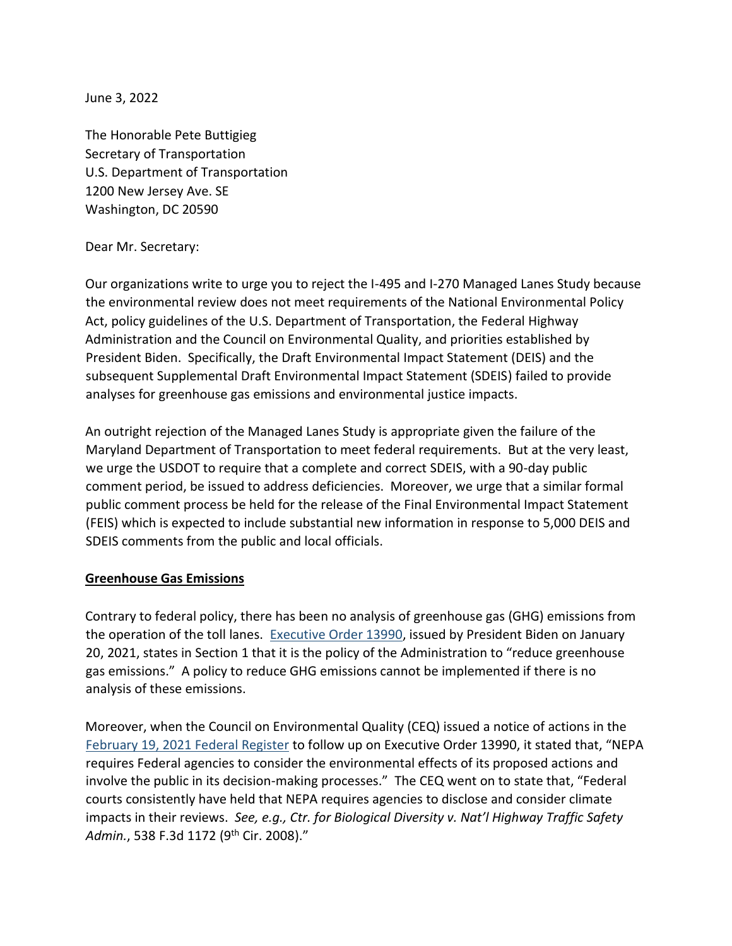June 3, 2022

The Honorable Pete Buttigieg Secretary of Transportation U.S. Department of Transportation 1200 New Jersey Ave. SE Washington, DC 20590

#### Dear Mr. Secretary:

Our organizations write to urge you to reject the I-495 and I-270 Managed Lanes Study because the environmental review does not meet requirements of the National Environmental Policy Act, policy guidelines of the U.S. Department of Transportation, the Federal Highway Administration and the Council on Environmental Quality, and priorities established by President Biden. Specifically, the Draft Environmental Impact Statement (DEIS) and the subsequent Supplemental Draft Environmental Impact Statement (SDEIS) failed to provide analyses for greenhouse gas emissions and environmental justice impacts.

An outright rejection of the Managed Lanes Study is appropriate given the failure of the Maryland Department of Transportation to meet federal requirements. But at the very least, we urge the USDOT to require that a complete and correct SDEIS, with a 90-day public comment period, be issued to address deficiencies. Moreover, we urge that a similar formal public comment process be held for the release of the Final Environmental Impact Statement (FEIS) which is expected to include substantial new information in response to 5,000 DEIS and SDEIS comments from the public and local officials.

### **Greenhouse Gas Emissions**

Contrary to federal policy, there has been no analysis of greenhouse gas (GHG) emissions from the operation of the toll lanes. [Executive Order 13990,](https://www.federalregister.gov/documents/2021/01/25/2021-01765/protecting-public-health-and-the-environment-and-restoring-science-to-tackle-the-climate-crisis) issued by President Biden on January 20, 2021, states in Section 1 that it is the policy of the Administration to "reduce greenhouse gas emissions." A policy to reduce GHG emissions cannot be implemented if there is no analysis of these emissions.

Moreover, when the Council on Environmental Quality (CEQ) issued a notice of actions in the [February 19, 2021 Federal Register](https://www.federalregister.gov/documents/2021/02/19/2021-03355/national-environmental-policy-act-guidance-on-consideration-of-greenhouse-gas-emissions) [t](https://www.federalregister.gov/documents/2021/02/19/2021-03355/national-environmental-policy-act-guidance-on-consideration-of-greenhouse-gas-emissions)o follow up on Executive Order 13990, it stated that, "NEPA requires Federal agencies to consider the environmental effects of its proposed actions and involve the public in its decision-making processes." The CEQ went on to state that, "Federal courts consistently have held that NEPA requires agencies to disclose and consider climate impacts in their reviews. *See, e.g., Ctr. for Biological Diversity v. Nat'l Highway Traffic Safety Admin.*, 538 F.3d 1172 (9th Cir. 2008)."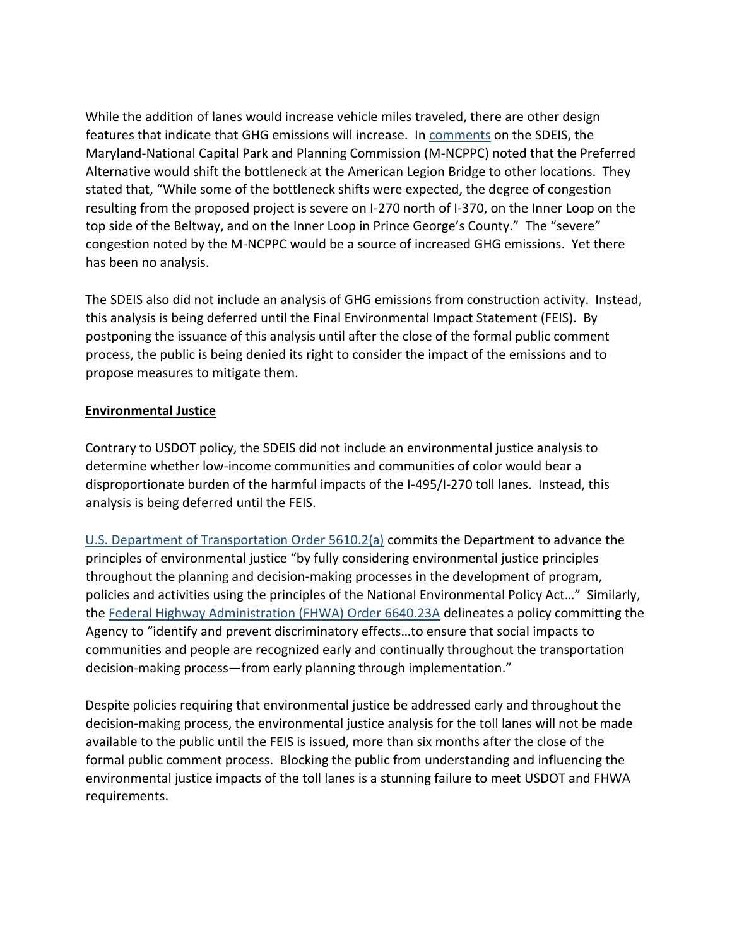While the addition of lanes would increase vehicle miles traveled, there are other design features that indicate that GHG emissions will increase. In [comments](https://montgomeryplanningboard.org/wp-content/uploads/2022/01/SDEIS-MNCPPC-Comment-Cvrltr_11.30.21.pdf) on the SDEIS, the Maryland-National Capital Park and Planning Commission (M-NCPPC) noted that the Preferred Alternative would shift the bottleneck at the American Legion Bridge to other locations. They stated that, "While some of the bottleneck shifts were expected, the degree of congestion resulting from the proposed project is severe on I-270 north of I-370, on the Inner Loop on the top side of the Beltway, and on the Inner Loop in Prince George's County." The "severe" congestion noted by the M-NCPPC would be a source of increased GHG emissions. Yet there has been no analysis.

The SDEIS also did not include an analysis of GHG emissions from construction activity. Instead, this analysis is being deferred until the Final Environmental Impact Statement (FEIS). By postponing the issuance of this analysis until after the close of the formal public comment process, the public is being denied its right to consider the impact of the emissions and to propose measures to mitigate them.

## **Environmental Justice**

Contrary to USDOT policy, the SDEIS did not include an environmental justice analysis to determine whether low-income communities and communities of color would bear a disproportionate burden of the harmful impacts of the I-495/I-270 toll lanes. Instead, this analysis is being deferred until the FEIS.

[U.S. Department of Transportation Order 5610.2\(a\)](https://www.transportation.gov/transportation-policy/environmental-justice/department-transportation-order-56102a) commits the Department to advance the principles of environmental justice "by fully considering environmental justice principles throughout the planning and decision-making processes in the development of program, policies and activities using the principles of the National Environmental Policy Act…" Similarly, the [Federal Highway Administration \(FHWA\) Order 6640.23A](https://www.fhwa.dot.gov/legsregs/directives/orders/664023a.cfm) delineates a policy committing the Agency to "identify and prevent discriminatory effects…to ensure that social impacts to communities and people are recognized early and continually throughout the transportation decision-making process—from early planning through implementation."

Despite policies requiring that environmental justice be addressed early and throughout the decision-making process, the environmental justice analysis for the toll lanes will not be made available to the public until the FEIS is issued, more than six months after the close of the formal public comment process. Blocking the public from understanding and influencing the environmental justice impacts of the toll lanes is a stunning failure to meet USDOT and FHWA requirements.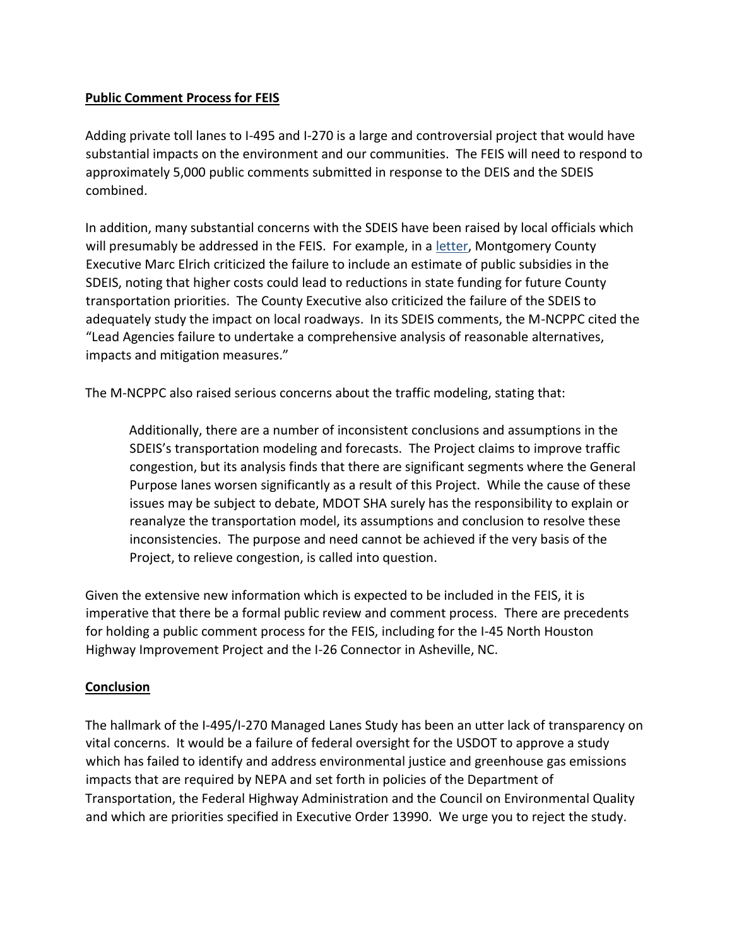# **Public Comment Process for FEIS**

Adding private toll lanes to I-495 and I-270 is a large and controversial project that would have substantial impacts on the environment and our communities. The FEIS will need to respond to approximately 5,000 public comments submitted in response to the DEIS and the SDEIS combined.

In addition, many substantial concerns with the SDEIS have been raised by local officials which will presumably be addressed in the FEIS. For example, in a [letter,](https://9cb12f8b-0595-4233-98ce-142d43d80a5c.usrfiles.com/ugd/9cb12f_5ea4194f64224e46b8a0a4706f543f59.pdf) Montgomery County Executive Marc Elrich criticized the failure to include an estimate of public subsidies in the SDEIS, noting that higher costs could lead to reductions in state funding for future County transportation priorities. The County Executive also criticized the failure of the SDEIS to adequately study the impact on local roadways. In its SDEIS comments, the M-NCPPC cited the "Lead Agencies failure to undertake a comprehensive analysis of reasonable alternatives, impacts and mitigation measures."

The M-NCPPC also raised serious concerns about the traffic modeling, stating that:

Additionally, there are a number of inconsistent conclusions and assumptions in the SDEIS's transportation modeling and forecasts. The Project claims to improve traffic congestion, but its analysis finds that there are significant segments where the General Purpose lanes worsen significantly as a result of this Project. While the cause of these issues may be subject to debate, MDOT SHA surely has the responsibility to explain or reanalyze the transportation model, its assumptions and conclusion to resolve these inconsistencies. The purpose and need cannot be achieved if the very basis of the Project, to relieve congestion, is called into question.

Given the extensive new information which is expected to be included in the FEIS, it is imperative that there be a formal public review and comment process. There are precedents for holding a public comment process for the FEIS, including for the I-45 North Houston Highway Improvement Project and the I-26 Connector in Asheville, NC.

# **Conclusion**

The hallmark of the I-495/I-270 Managed Lanes Study has been an utter lack of transparency on vital concerns. It would be a failure of federal oversight for the USDOT to approve a study which has failed to identify and address environmental justice and greenhouse gas emissions impacts that are required by NEPA and set forth in policies of the Department of Transportation, the Federal Highway Administration and the Council on Environmental Quality and which are priorities specified in Executive Order 13990. We urge you to reject the study.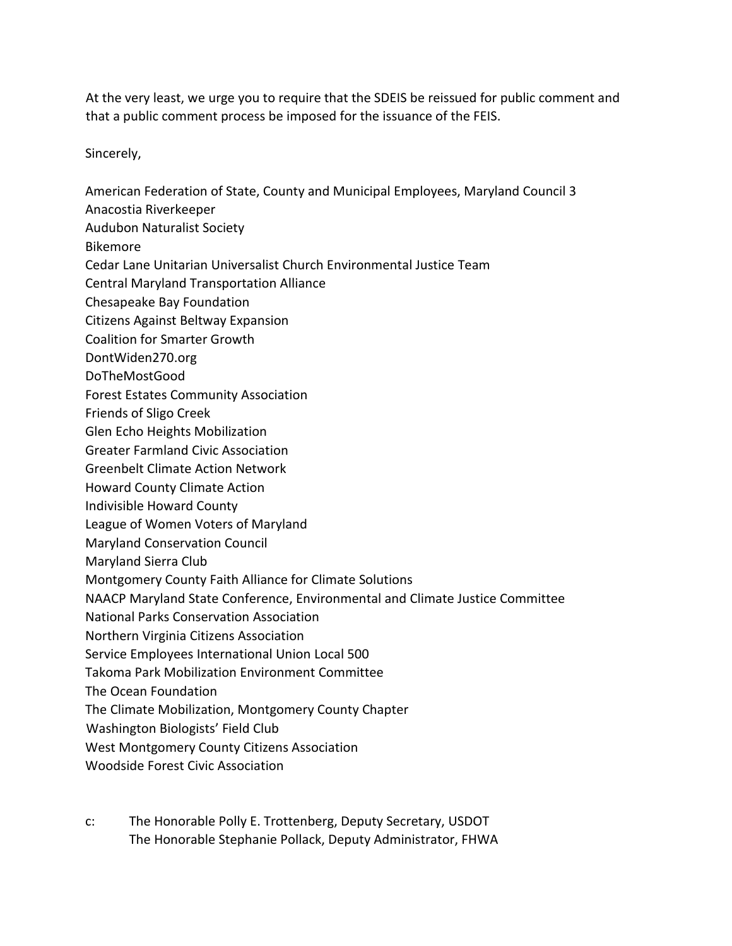At the very least, we urge you to require that the SDEIS be reissued for public comment and that a public comment process be imposed for the issuance of the FEIS.

Sincerely,

American Federation of State, County and Municipal Employees, Maryland Council 3

- Anacostia Riverkeeper
- Audubon Naturalist Society
- Bikemore
- Cedar Lane Unitarian Universalist Church Environmental Justice Team
- Central Maryland Transportation Alliance
- Chesapeake Bay Foundation
- Citizens Against Beltway Expansion
- Coalition for Smarter Growth
- DontWiden270.org
- DoTheMostGood
- Forest Estates Community Association
- Friends of Sligo Creek
- Glen Echo Heights Mobilization
- Greater Farmland Civic Association
- Greenbelt Climate Action Network
- Howard County Climate Action
- Indivisible Howard County
- League of Women Voters of Maryland
- Maryland Conservation Council
- Maryland Sierra Club
- Montgomery County Faith Alliance for Climate Solutions
- NAACP Maryland State Conference, Environmental and Climate Justice Committee
- National Parks Conservation Association
- Northern Virginia Citizens Association
- Service Employees International Union Local 500
- Takoma Park Mobilization Environment Committee
- The Ocean Foundation
- The Climate Mobilization, Montgomery County Chapter
- Washington Biologists' Field Club
- West Montgomery County Citizens Association
- Woodside Forest Civic Association
- c: The Honorable Polly E. Trottenberg, Deputy Secretary, USDOT The Honorable Stephanie Pollack, Deputy Administrator, FHWA